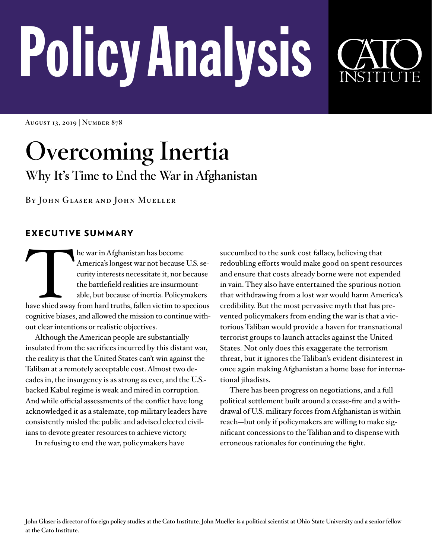# PolicyAnalysis

**August 13, 2019 | Number 878**

# **Overcoming Inertia Why It's Time to End the War in Afghanistan**

**By John Glaser and John Mueller**

## EXECUTIVE SUMMARY

The war in Afghanistan has become<br>
America's longest war not because U.S. se-<br>
curity interests necessitate it, nor because<br>
the battlefield realities are insurmount-<br>
able, but because of inertia. Policymakers<br>
have shied America's longest war not because U.S. security interests necessitate it, nor because the battlefield realities are insurmountable, but because of inertia. Policymakers cognitive biases, and allowed the mission to continue without clear intentions or realistic objectives.

Although the American people are substantially insulated from the sacrifices incurred by this distant war, the reality is that the United States can't win against the Taliban at a remotely acceptable cost. Almost two decades in, the insurgency is as strong as ever, and the U.S. backed Kabul regime is weak and mired in corruption. And while official assessments of the conflict have long acknowledged it as a stalemate, top military leaders have consistently misled the public and advised elected civilians to devote greater resources to achieve victory.

In refusing to end the war, policymakers have

succumbed to the sunk cost fallacy, believing that redoubling efforts would make good on spent resources and ensure that costs already borne were not expended in vain. They also have entertained the spurious notion that withdrawing from a lost war would harm America's credibility. But the most pervasive myth that has prevented policymakers from ending the war is that a victorious Taliban would provide a haven for transnational terrorist groups to launch attacks against the United States. Not only does this exaggerate the terrorism threat, but it ignores the Taliban's evident disinterest in once again making Afghanistan a home base for international jihadists.

There has been progress on negotiations, and a full political settlement built around a cease-fire and a withdrawal of U.S. military forces from Afghanistan is within reach—but only if policymakers are willing to make significant concessions to the Taliban and to dispense with erroneous rationales for continuing the fight.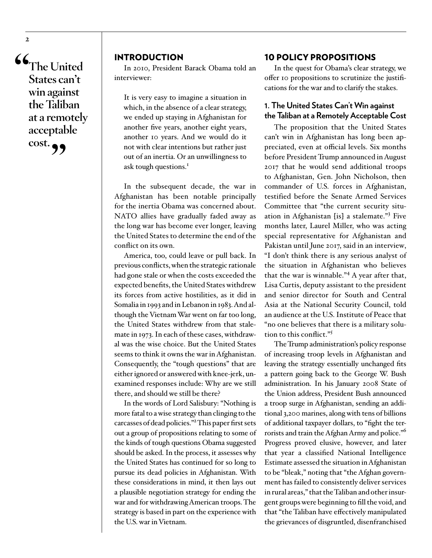**"The United States can't win against the Taliban at a remotely acceptable cost.** 

### INTRODUCTION

In 2010, President Barack Obama told an interviewer:

It is very easy to imagine a situation in which, in the absence of a clear strategy, we ended up staying in Afghanistan for another five years, another eight years, another 10 years. And we would do it not with clear intentions but rather just out of an inertia. Or an unwillingness to ask tough questions.<sup>1</sup>

In the subsequent decade, the war in Afghanistan has been notable principally for the inertia Obama was concerned about. NATO allies have gradually faded away as the long war has become ever longer, leaving the United States to determine the end of the conflict on its own.

America, too, could leave or pull back. In previous conflicts, when the strategic rationale had gone stale or when the costs exceeded the expected benefits, the United States withdrew its forces from active hostilities, as it did in Somalia in 1993 and in Lebanon in 1983. And although the Vietnam War went on far too long, the United States withdrew from that stalemate in 1973. In each of these cases, withdrawal was the wise choice. But the United States seems to think it owns the war in Afghanistan. Consequently, the "tough questions" that are either ignored or answered with knee-jerk, unexamined responses include: Why are we still there, and should we still be there?

In the words of Lord Salisbury: "Nothing is more fatal to a wise strategy than clinging to the carcasses of dead policies."2 This paper first sets out a group of propositions relating to some of the kinds of tough questions Obama suggested should be asked. In the process, it assesses why the United States has continued for so long to pursue its dead policies in Afghanistan. With these considerations in mind, it then lays out a plausible negotiation strategy for ending the war and for withdrawing American troops. The strategy is based in part on the experience with the U.S. war in Vietnam.

### 10 POLICY PROPOSITIONS

In the quest for Obama's clear strategy, we offer 10 propositions to scrutinize the justifications for the war and to clarify the stakes.

### **1. The United States Can't Win against the Taliban at a Remotely Acceptable Cost**

The proposition that the United States can't win in Afghanistan has long been appreciated, even at official levels. Six months before President Trump announced in August 2017 that he would send additional troops to Afghanistan, Gen. John Nicholson, then commander of U.S. forces in Afghanistan, testified before the Senate Armed Services Committee that "the current security situation in Afghanistan [is] a stalemate."<sup>3</sup> Five months later, Laurel Miller, who was acting special representative for Afghanistan and Pakistan until June 2017, said in an interview, "I don't think there is any serious analyst of the situation in Afghanistan who believes that the war is winnable."<sup>4</sup> A year after that, Lisa Curtis, deputy assistant to the president and senior director for South and Central Asia at the National Security Council, told an audience at the U.S. Institute of Peace that "no one believes that there is a military solution to this conflict."<sup>5</sup>

The Trump administration's policy response of increasing troop levels in Afghanistan and leaving the strategy essentially unchanged fits a pattern going back to the George W. Bush administration. In his January 2008 State of the Union address, President Bush announced a troop surge in Afghanistan, sending an additional 3,200 marines, along with tens of billions of additional taxpayer dollars, to "fight the terrorists and train the Afghan Army and police."6 Progress proved elusive, however, and later that year a classified National Intelligence Estimate assessed the situation in Afghanistan to be "bleak," noting that "the Afghan government has failed to consistently deliver services in rural areas," that the Taliban and other insurgent groups were beginning to fill the void, and that "the Taliban have effectively manipulated the grievances of disgruntled, disenfranchised

**2**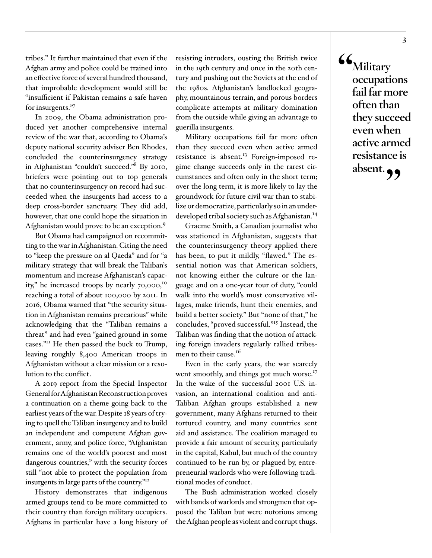tribes." It further maintained that even if the Afghan army and police could be trained into an effective force of several hundred thousand, that improbable development would still be "insufficient if Pakistan remains a safe haven for insurgents."7

In 2009, the Obama administration produced yet another comprehensive internal review of the war that, according to Obama's deputy national security adviser Ben Rhodes, concluded the counterinsurgency strategy in Afghanistan "couldn't succeed."<sup>8</sup> By 2010, briefers were pointing out to top generals that no counterinsurgency on record had succeeded when the insurgents had access to a deep cross-border sanctuary. They did add, however, that one could hope the situation in Afghanistan would prove to be an exception.<sup>9</sup>

But Obama had campaigned on recommitting to the war in Afghanistan. Citing the need to "keep the pressure on al Qaeda" and for "a military strategy that will break the Taliban's momentum and increase Afghanistan's capacity," he increased troops by nearly 70,000,10 reaching a total of about 100,000 by 2011. In 2016, Obama warned that "the security situation in Afghanistan remains precarious" while acknowledging that the "Taliban remains a threat" and had even "gained ground in some cases."11 He then passed the buck to Trump, leaving roughly 8,400 American troops in Afghanistan without a clear mission or a resolution to the conflict.

A 2019 report from the Special Inspector General for Afghanistan Reconstruction proves a continuation on a theme going back to the earliest years of the war. Despite 18 years of trying to quell the Taliban insurgency and to build an independent and competent Afghan government, army, and police force, "Afghanistan remains one of the world's poorest and most dangerous countries," with the security forces still "not able to protect the population from insurgents in large parts of the country."12

History demonstrates that indigenous armed groups tend to be more committed to their country than foreign military occupiers. Afghans in particular have a long history of resisting intruders, ousting the British twice in the 19th century and once in the 20th century and pushing out the Soviets at the end of the 1980s. Afghanistan's landlocked geography, mountainous terrain, and porous borders complicate attempts at military domination from the outside while giving an advantage to guerilla insurgents.

Military occupations fail far more often than they succeed even when active armed resistance is absent.<sup>13</sup> Foreign-imposed regime change succeeds only in the rarest circumstances and often only in the short term; over the long term, it is more likely to lay the groundwork for future civil war than to stabilize or democratize, particularly so in an underdeveloped tribal society such as Afghanistan.<sup>14</sup>

Graeme Smith, a Canadian journalist who was stationed in Afghanistan, suggests that the counterinsurgency theory applied there has been, to put it mildly, "flawed." The essential notion was that American soldiers, not knowing either the culture or the language and on a one-year tour of duty, "could walk into the world's most conservative villages, make friends, hunt their enemies, and build a better society." But "none of that," he concludes, "proved successful."15 Instead, the Taliban was finding that the notion of attacking foreign invaders regularly rallied tribesmen to their cause.<sup>16</sup>

Even in the early years, the war scarcely went smoothly, and things got much worse.<sup>17</sup> In the wake of the successful 2001 U.S. invasion, an international coalition and anti-Taliban Afghan groups established a new government, many Afghans returned to their tortured country, and many countries sent aid and assistance. The coalition managed to provide a fair amount of security, particularly in the capital, Kabul, but much of the country continued to be run by, or plagued by, entrepreneurial warlords who were following traditional modes of conduct.

The Bush administration worked closely with bands of warlords and strongmen that opposed the Taliban but were notorious among the Afghan people as violent and corrupt thugs. **"Military occupations fail far more often than they succeed even when active armed resistance is absent."**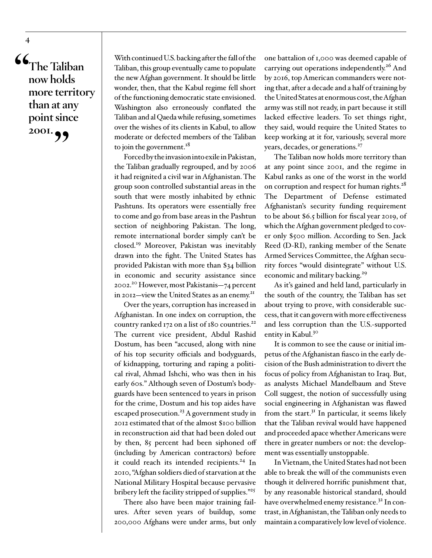**"The Taliban now holds more territory than at any point since**  2001.

**4**

With continued U.S. backing after the fall of the Taliban, this group eventually came to populate the new Afghan government. It should be little wonder, then, that the Kabul regime fell short of the functioning democratic state envisioned. Washington also erroneously conflated the Taliban and al Qaeda while refusing, sometimes over the wishes of its clients in Kabul, to allow moderate or defected members of the Taliban to join the government. $18$ 

Forced by the invasion into exile in Pakistan, the Taliban gradually regrouped, and by 2006 it had reignited a civil war in Afghanistan. The group soon controlled substantial areas in the south that were mostly inhabited by ethnic Pashtuns. Its operators were essentially free to come and go from base areas in the Pashtun section of neighboring Pakistan. The long, remote international border simply can't be closed.19 Moreover, Pakistan was inevitably drawn into the fight. The United States has provided Pakistan with more than \$34 billion in economic and security assistance since 2002.20 However, most Pakistanis—74 percent in 2012—view the United States as an enemy.<sup>21</sup>

Over the years, corruption has increased in Afghanistan. In one index on corruption, the country ranked 172 on a list of 180 countries.<sup>22</sup> The current vice president, Abdul Rashid Dostum, has been "accused, along with nine of his top security officials and bodyguards, of kidnapping, torturing and raping a political rival, Ahmad Ishchi, who was then in his early 60s." Although seven of Dostum's bodyguards have been sentenced to years in prison for the crime, Dostum and his top aides have escaped prosecution.<sup>23</sup> A government study in 2012 estimated that of the almost \$100 billion in reconstruction aid that had been doled out by then, 85 percent had been siphoned off (including by American contractors) before it could reach its intended recipients.<sup>24</sup> In 2010, "Afghan soldiers died of starvation at the National Military Hospital because pervasive bribery left the facility stripped of supplies."<sup>25</sup>

There also have been major training failures. After seven years of buildup, some 200,000 Afghans were under arms, but only

one battalion of 1,000 was deemed capable of carrying out operations independently.<sup>26</sup> And by 2016, top American commanders were noting that, after a decade and a half of training by the United States at enormous cost, the Afghan army was still not ready, in part because it still lacked effective leaders. To set things right, they said, would require the United States to keep working at it for, variously, several more years, decades, or generations.<sup>27</sup>

The Taliban now holds more territory than at any point since 2001, and the regime in Kabul ranks as one of the worst in the world on corruption and respect for human rights.<sup>28</sup> The Department of Defense estimated Afghanistan's security funding requirement to be about \$6.5 billion for fiscal year 2019, of which the Afghan government pledged to cover only \$500 million. According to Sen. Jack Reed (D-RI), ranking member of the Senate Armed Services Committee, the Afghan security forces "would disintegrate" without U.S. economic and military backing.<sup>29</sup>

As it's gained and held land, particularly in the south of the country, the Taliban has set about trying to prove, with considerable success, that it can govern with more effectiveness and less corruption than the U.S.-supported entity in Kabul.<sup>30</sup>

It is common to see the cause or initial impetus of the Afghanistan fiasco in the early decision of the Bush administration to divert the focus of policy from Afghanistan to Iraq. But, as analysts Michael Mandelbaum and Steve Coll suggest, the notion of successfully using social engineering in Afghanistan was flawed from the start. $3<sup>I</sup>$  In particular, it seems likely that the Taliban revival would have happened and proceeded apace whether Americans were there in greater numbers or not: the development was essentially unstoppable.

In Vietnam, the United States had not been able to break the will of the communists even though it delivered horrific punishment that, by any reasonable historical standard, should have overwhelmed enemy resistance.<sup>32</sup> In contrast, in Afghanistan, the Taliban only needs to maintain a comparatively low level of violence.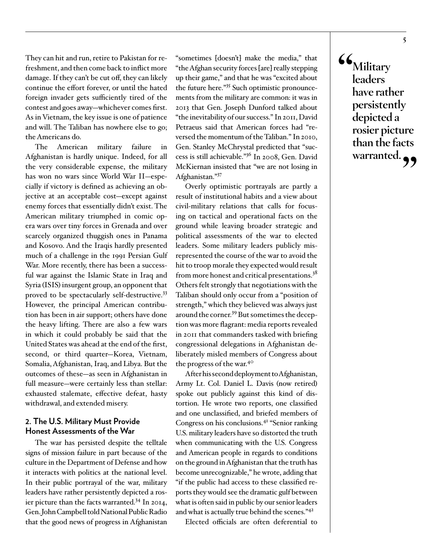They can hit and run, retire to Pakistan for refreshment, and then come back to inflict more damage. If they can't be cut off, they can likely continue the effort forever, or until the hated foreign invader gets sufficiently tired of the contest and goes away—whichever comes first. As in Vietnam, the key issue is one of patience and will. The Taliban has nowhere else to go; the Americans do.

The American military failure in Afghanistan is hardly unique. Indeed, for all the very considerable expense, the military has won no wars since World War II—especially if victory is defined as achieving an objective at an acceptable cost—except against enemy forces that essentially didn't exist. The American military triumphed in comic opera wars over tiny forces in Grenada and over scarcely organized thuggish ones in Panama and Kosovo. And the Iraqis hardly presented much of a challenge in the 1991 Persian Gulf War. More recently, there has been a successful war against the Islamic State in Iraq and Syria (ISIS) insurgent group, an opponent that proved to be spectacularly self-destructive.33 However, the principal American contribution has been in air support; others have done the heavy lifting. There are also a few wars in which it could probably be said that the United States was ahead at the end of the first, second, or third quarter—Korea, Vietnam, Somalia, Afghanistan, Iraq, and Libya. But the outcomes of these—as seen in Afghanistan in full measure—were certainly less than stellar: exhausted stalemate, effective defeat, hasty withdrawal, and extended misery.

### **2. The U.S. Military Must Provide Honest Assessments of the War**

The war has persisted despite the telltale signs of mission failure in part because of the culture in the Department of Defense and how it interacts with politics at the national level. In their public portrayal of the war, military leaders have rather persistently depicted a rosier picture than the facts warranted.34 In 2014, Gen. John Campbell told National Public Radio that the good news of progress in Afghanistan

"sometimes [doesn't] make the media," that "the Afghan security forces [are] really stepping up their game," and that he was "excited about the future here."35 Such optimistic pronouncements from the military are common: it was in 2013 that Gen. Joseph Dunford talked about "the inevitability of our success." In 2011, David Petraeus said that American forces had "reversed the momentum of the Taliban." In 2010, Gen. Stanley McChrystal predicted that "success is still achievable."36 In 2008, Gen. David McKiernan insisted that "we are not losing in Afghanistan."37

Overly optimistic portrayals are partly a result of institutional habits and a view about civil-military relations that calls for focusing on tactical and operational facts on the ground while leaving broader strategic and political assessments of the war to elected leaders. Some military leaders publicly misrepresented the course of the war to avoid the hit to troop morale they expected would result from more honest and critical presentations.<sup>38</sup> Others felt strongly that negotiations with the Taliban should only occur from a "position of strength," which they believed was always just around the corner.<sup>39</sup> But sometimes the deception was more flagrant: media reports revealed in 2011 that commanders tasked with briefing congressional delegations in Afghanistan deliberately misled members of Congress about the progress of the war.40

After his second deployment to Afghanistan, Army Lt. Col. Daniel L. Davis (now retired) spoke out publicly against this kind of distortion. He wrote two reports, one classified and one unclassified, and briefed members of Congress on his conclusions.41 "Senior ranking U.S. military leaders have so distorted the truth when communicating with the U.S. Congress and American people in regards to conditions on the ground in Afghanistan that the truth has become unrecognizable," he wrote, adding that "if the public had access to these classified reports they would see the dramatic gulf between what is often said in public by our senior leaders and what is actually true behind the scenes."42

Elected officials are often deferential to

**"Military leaders have rather persistently depicted a rosier picture than the facts warranted."**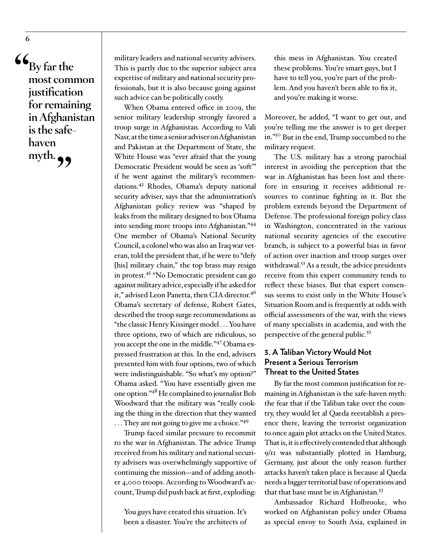**"By far the most common justification for remaining in Afghanistan is the safehaven**  myth. **99** 

**6**

military leaders and national security advisers. This is partly due to the superior subject area expertise of military and national security professionals, but it is also because going against such advice can be politically costly.

When Obama entered office in 2009, the senior military leadership strongly favored a troop surge in Afghanistan. According to Vali Nasr, at the time a senior adviser on Afghanistan and Pakistan at the Department of State, the White House was "ever afraid that the young Democratic President would be seen as 'soft'" if he went against the military's recommendations.43 Rhodes, Obama's deputy national security adviser, says that the administration's Afghanistan policy review was "shaped by leaks from the military designed to box Obama into sending more troops into Afghanistan."44 One member of Obama's National Security Council, a colonel who was also an Iraq war veteran, told the president that, if he were to "defy [his] military chain," the top brass may resign in protest.45 "No Democratic president can go against military advice, especially if he asked for it," advised Leon Panetta, then CIA director.<sup>46</sup> Obama's secretary of defense, Robert Gates, described the troop surge recommendations as "the classic Henry Kissinger model . . . You have three options, two of which are ridiculous, so you accept the one in the middle."47 Obama expressed frustration at this. In the end, advisers presented him with four options, two of which were indistinguishable. "So what's my option?" Obama asked. "You have essentially given me one option."48 He complained to journalist Bob Woodward that the military was "really cooking the thing in the direction that they wanted ... They are not going to give me a choice."49

Trump faced similar pressure to recommit to the war in Afghanistan. The advice Trump received from his military and national security advisers was overwhelmingly supportive of continuing the mission—and of adding another 4,000 troops. According to Woodward's account, Trump did push back at first, exploding:

You guys have created this situation. It's been a disaster. You're the architects of this mess in Afghanistan. You created these problems. You're smart guys, but I have to tell you, you're part of the problem. And you haven't been able to fix it, and you're making it worse.

Moreover, he added, "I want to get out, and you're telling me the answer is to get deeper in."50 But in the end, Trump succumbed to the military request.

The U.S. military has a strong parochial interest in avoiding the perception that the war in Afghanistan has been lost and therefore in ensuring it receives additional resources to continue fighting in it. But the problem extends beyond the Department of Defense. The professional foreign policy class in Washington, concentrated in the various national security agencies of the executive branch, is subject to a powerful bias in favor of action over inaction and troop surges over withdrawal.<sup>51</sup> As a result, the advice presidents receive from this expert community tends to reflect these biases. But that expert consensus seems to exist only in the White House's Situation Room and is frequently at odds with official assessments of the war, with the views of many specialists in academia, and with the perspective of the general public.<sup>52</sup>

### **3. A Taliban Victory Would Not Present a Serious Terrorism Threat to the United States**

By far the most common justification for remaining in Afghanistan is the safe-haven myth: the fear that if the Taliban take over the country, they would let al Qaeda reestablish a presence there, leaving the terrorist organization to once again plot attacks on the United States. That is, it is effectively contended that although 9/11 was substantially plotted in Hamburg, Germany, just about the only reason further attacks haven't taken place is because al Qaeda needs a bigger territorial base of operations and that that base must be in Afghanistan.<sup>53</sup>

Ambassador Richard Holbrooke, who worked on Afghanistan policy under Obama as special envoy to South Asia, explained in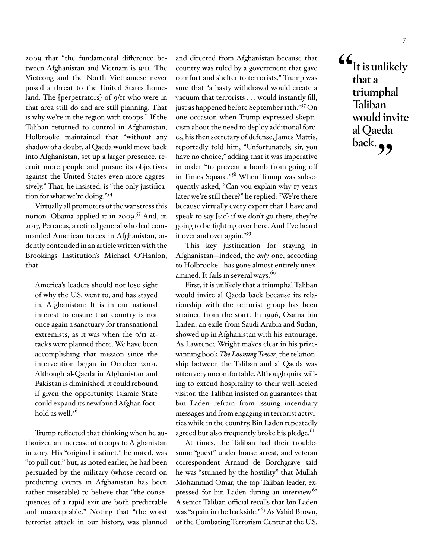2009 that "the fundamental difference between Afghanistan and Vietnam is 9/11. The Vietcong and the North Vietnamese never posed a threat to the United States homeland. The [perpetrators] of 9/11 who were in that area still do and are still planning. That is why we're in the region with troops." If the Taliban returned to control in Afghanistan, Holbrooke maintained that "without any shadow of a doubt, al Qaeda would move back into Afghanistan, set up a larger presence, recruit more people and pursue its objectives against the United States even more aggressively." That, he insisted, is "the only justification for what we're doing."54

Virtually all promoters of the war stress this notion. Obama applied it in 2009.<sup>55</sup> And, in 2017, Petraeus, a retired general who had commanded American forces in Afghanistan, ardently contended in an article written with the Brookings Institution's Michael O'Hanlon, that:

America's leaders should not lose sight of why the U.S. went to, and has stayed in, Afghanistan: It is in our national interest to ensure that country is not once again a sanctuary for transnational extremists, as it was when the  $9/11$  attacks were planned there. We have been accomplishing that mission since the intervention began in October 2001. Although al-Qaeda in Afghanistan and Pakistan is diminished, it could rebound if given the opportunity. Islamic State could expand its newfound Afghan foothold as well. $5<sup>6</sup>$ 

Trump reflected that thinking when he authorized an increase of troops to Afghanistan in 2017. His "original instinct," he noted, was "to pull out," but, as noted earlier, he had been persuaded by the military (whose record on predicting events in Afghanistan has been rather miserable) to believe that "the consequences of a rapid exit are both predictable and unacceptable." Noting that "the worst terrorist attack in our history, was planned

and directed from Afghanistan because that country was ruled by a government that gave comfort and shelter to terrorists," Trump was sure that "a hasty withdrawal would create a vacuum that terrorists . . . would instantly fill, just as happened before September 11th."57 On one occasion when Trump expressed skepticism about the need to deploy additional forces, his then secretary of defense, James Mattis, reportedly told him, "Unfortunately, sir, you have no choice," adding that it was imperative in order "to prevent a bomb from going off in Times Square."<sup>58</sup> When Trump was subsequently asked, "Can you explain why 17 years later we're still there?" he replied: "We're there because virtually every expert that I have and speak to say [sic] if we don't go there, they're going to be fighting over here. And I've heard it over and over again."<sup>59</sup>

This key justification for staying in Afghanistan—indeed, the *only* one, according to Holbrooke—has gone almost entirely unexamined. It fails in several ways.<sup>60</sup>

First, it is unlikely that a triumphal Taliban would invite al Qaeda back because its relationship with the terrorist group has been strained from the start. In 1996, Osama bin Laden, an exile from Saudi Arabia and Sudan, showed up in Afghanistan with his entourage. As Lawrence Wright makes clear in his prizewinning book *The Looming Tower*, the relationship between the Taliban and al Qaeda was often very uncomfortable. Although quite willing to extend hospitality to their well-heeled visitor, the Taliban insisted on guarantees that bin Laden refrain from issuing incendiary messages and from engaging in terrorist activities while in the country. Bin Laden repeatedly agreed but also frequently broke his pledge.<sup>61</sup>

At times, the Taliban had their troublesome "guest" under house arrest, and veteran correspondent Arnaud de Borchgrave said he was "stunned by the hostility" that Mullah Mohammad Omar, the top Taliban leader, expressed for bin Laden during an interview.<sup>62</sup> A senior Taliban official recalls that bin Laden was "a pain in the backside."63 As Vahid Brown, of the Combating Terrorism Center at the U.S. **"It is unlikely that a triumphal Taliban would invite al Qaeda**  back.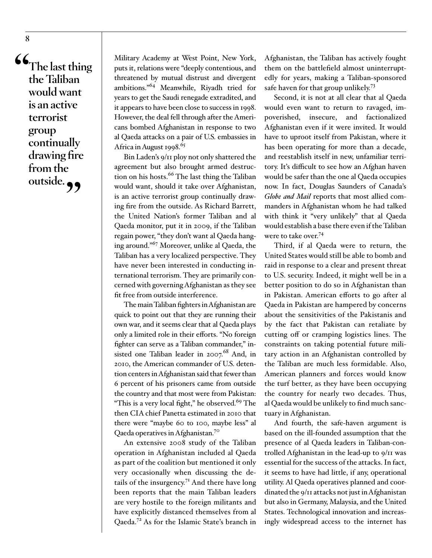**"The last thing the Taliban would want is an active terrorist group continually drawing fire from the**  outside.

Military Academy at West Point, New York, puts it, relations were "deeply contentious, and threatened by mutual distrust and divergent ambitions."64 Meanwhile, Riyadh tried for years to get the Saudi renegade extradited, and it appears to have been close to success in 1998. However, the deal fell through after the Americans bombed Afghanistan in response to two al Qaeda attacks on a pair of U.S. embassies in Africa in August 1998. $65$ 

Bin Laden's 9/11 ploy not only shattered the agreement but also brought armed destruction on his hosts.<sup>66</sup> The last thing the Taliban would want, should it take over Afghanistan, is an active terrorist group continually drawing fire from the outside. As Richard Barrett, the United Nation's former Taliban and al Qaeda monitor, put it in 2009, if the Taliban regain power, "they don't want al Qaeda hanging around."67 Moreover, unlike al Qaeda, the Taliban has a very localized perspective. They have never been interested in conducting international terrorism. They are primarily concerned with governing Afghanistan as they see fit free from outside interference.

The main Taliban fighters in Afghanistan are quick to point out that they are running their own war, and it seems clear that al Qaeda plays only a limited role in their efforts. "No foreign fighter can serve as a Taliban commander," insisted one Taliban leader in  $2007.68$  And, in 2010, the American commander of U.S. detention centers in Afghanistan said that fewer than 6 percent of his prisoners came from outside the country and that most were from Pakistan: "This is a very local fight," he observed. $69$  The then CIA chief Panetta estimated in 2010 that there were "maybe 60 to 100, maybe less" al Qaeda operatives in Afghanistan.70

An extensive 2008 study of the Taliban operation in Afghanistan included al Qaeda as part of the coalition but mentioned it only very occasionally when discussing the details of the insurgency.<sup>71</sup> And there have long been reports that the main Taliban leaders are very hostile to the foreign militants and have explicitly distanced themselves from al Qaeda.72 As for the Islamic State's branch in

Afghanistan, the Taliban has actively fought them on the battlefield almost uninterruptedly for years, making a Taliban-sponsored safe haven for that group unlikely.<sup>73</sup>

Second, it is not at all clear that al Qaeda would even want to return to ravaged, impoverished, insecure, and factionalized Afghanistan even if it were invited. It would have to uproot itself from Pakistan, where it has been operating for more than a decade, and reestablish itself in new, unfamiliar territory. It's difficult to see how an Afghan haven would be safer than the one al Qaeda occupies now. In fact, Douglas Saunders of Canada's *Globe and Mail* reports that most allied commanders in Afghanistan whom he had talked with think it "very unlikely" that al Qaeda would establish a base there even if the Taliban were to take over.<sup>74</sup>

Third, if al Qaeda were to return, the United States would still be able to bomb and raid in response to a clear and present threat to U.S. security. Indeed, it might well be in a better position to do so in Afghanistan than in Pakistan. American efforts to go after al Qaeda in Pakistan are hampered by concerns about the sensitivities of the Pakistanis and by the fact that Pakistan can retaliate by cutting off or cramping logistics lines. The constraints on taking potential future military action in an Afghanistan controlled by the Taliban are much less formidable. Also, American planners and forces would know the turf better, as they have been occupying the country for nearly two decades. Thus, al Qaeda would be unlikely to find much sanctuary in Afghanistan.

And fourth, the safe-haven argument is based on the ill-founded assumption that the presence of al Qaeda leaders in Taliban-controlled Afghanistan in the lead-up to 9/11 was essential for the success of the attacks. In fact, it seems to have had little, if any, operational utility. Al Qaeda operatives planned and coordinated the 9/11 attacks not just in Afghanistan but also in Germany, Malaysia, and the United States. Technological innovation and increasingly widespread access to the internet has

**8**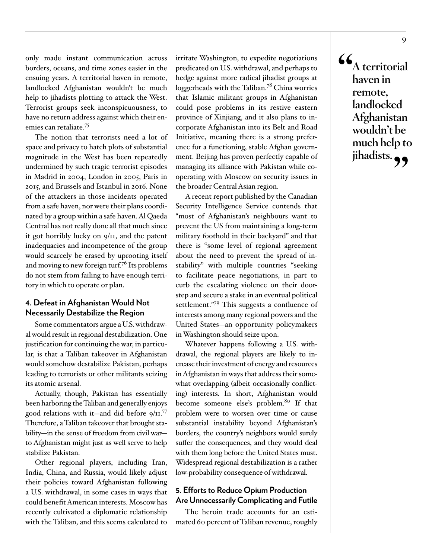only made instant communication across borders, oceans, and time zones easier in the ensuing years. A territorial haven in remote, landlocked Afghanistan wouldn't be much help to jihadists plotting to attack the West. Terrorist groups seek inconspicuousness, to have no return address against which their enemies can retaliate.75

The notion that terrorists need a lot of space and privacy to hatch plots of substantial magnitude in the West has been repeatedly undermined by such tragic terrorist episodes in Madrid in 2004, London in 2005, Paris in 2015, and Brussels and Istanbul in 2016. None of the attackers in those incidents operated from a safe haven, nor were their plans coordinated by a group within a safe haven. Al Qaeda Central has not really done all that much since it got horribly lucky on 9/11, and the patent inadequacies and incompetence of the group would scarcely be erased by uprooting itself and moving to new foreign turf.<sup>76</sup> Its problems do not stem from failing to have enough territory in which to operate or plan.

### **4. Defeat in Afghanistan Would Not Necessarily Destabilize the Region**

Some commentators argue a U.S. withdrawal would result in regional destabilization. One justification for continuing the war, in particular, is that a Taliban takeover in Afghanistan would somehow destabilize Pakistan, perhaps leading to terrorists or other militants seizing its atomic arsenal.

Actually, though, Pakistan has essentially been harboring the Taliban and generally enjoys good relations with it—and did before  $9/11$ .<sup>77</sup> Therefore, a Taliban takeover that brought stability—in the sense of freedom from civil war to Afghanistan might just as well serve to help stabilize Pakistan.

Other regional players, including Iran, India, China, and Russia, would likely adjust their policies toward Afghanistan following a U.S. withdrawal, in some cases in ways that could benefit American interests. Moscow has recently cultivated a diplomatic relationship with the Taliban, and this seems calculated to

irritate Washington, to expedite negotiations predicated on U.S. withdrawal, and perhaps to hedge against more radical jihadist groups at loggerheads with the Taliban.<sup>78</sup> China worries that Islamic militant groups in Afghanistan could pose problems in its restive eastern province of Xinjiang, and it also plans to incorporate Afghanistan into its Belt and Road Initiative, meaning there is a strong preference for a functioning, stable Afghan government. Beijing has proven perfectly capable of managing its alliance with Pakistan while cooperating with Moscow on security issues in the broader Central Asian region.

A recent report published by the Canadian Security Intelligence Service contends that "most of Afghanistan's neighbours want to prevent the US from maintaining a long-term military foothold in their backyard" and that there is "some level of regional agreement about the need to prevent the spread of instability" with multiple countries "seeking to facilitate peace negotiations, in part to curb the escalating violence on their doorstep and secure a stake in an eventual political settlement."79 This suggests a confluence of interests among many regional powers and the United States—an opportunity policymakers in Washington should seize upon.

Whatever happens following a U.S. withdrawal, the regional players are likely to increase their investment of energy and resources in Afghanistan in ways that address their somewhat overlapping (albeit occasionally conflicting) interests. In short, Afghanistan would become someone else's problem.<sup>80</sup> If that problem were to worsen over time or cause substantial instability beyond Afghanistan's borders, the country's neighbors would surely suffer the consequences, and they would deal with them long before the United States must. Widespread regional destabilization is a rather low-probability consequence of withdrawal.

### **5. Efforts to Reduce Opium Production Are Unnecessarily Complicating and Futile**

The heroin trade accounts for an estimated 60 percent of Taliban revenue, roughly **"A territorial haven in remote, landlocked Afghanistan wouldn't be much help to**  jihadists.<sub>??</sub>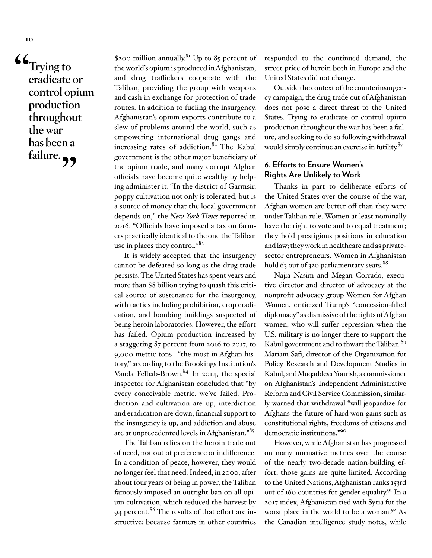**"Trying to eradicate or control opium production throughout the war has been a failure."**

\$200 million annually.<sup>81</sup> Up to 85 percent of the world's opium is produced in Afghanistan, and drug traffickers cooperate with the Taliban, providing the group with weapons and cash in exchange for protection of trade routes. In addition to fueling the insurgency, Afghanistan's opium exports contribute to a slew of problems around the world, such as empowering international drug gangs and increasing rates of addiction. $82$  The Kabul government is the other major beneficiary of the opium trade, and many corrupt Afghan officials have become quite wealthy by helping administer it. "In the district of Garmsir, poppy cultivation not only is tolerated, but is a source of money that the local government depends on," the *New York Times* reported in 2016. "Officials have imposed a tax on farmers practically identical to the one the Taliban use in places they control."<sup>83</sup>

It is widely accepted that the insurgency cannot be defeated so long as the drug trade persists. The United States has spent years and more than \$8 billion trying to quash this critical source of sustenance for the insurgency, with tactics including prohibition, crop eradication, and bombing buildings suspected of being heroin laboratories. However, the effort has failed. Opium production increased by a staggering 87 percent from 2016 to 2017, to 9,000 metric tons—"the most in Afghan history," according to the Brookings Institution's Vanda Felbab-Brown.<sup>84</sup> In 2014, the special inspector for Afghanistan concluded that "by every conceivable metric, we've failed. Production and cultivation are up, interdiction and eradication are down, financial support to the insurgency is up, and addiction and abuse are at unprecedented levels in Afghanistan."85

The Taliban relies on the heroin trade out of need, not out of preference or indifference. In a condition of peace, however, they would no longer feel that need. Indeed, in 2000, after about four years of being in power, the Taliban famously imposed an outright ban on all opium cultivation, which reduced the harvest by 94 percent.<sup>86</sup> The results of that effort are instructive: because farmers in other countries

responded to the continued demand, the street price of heroin both in Europe and the United States did not change.

Outside the context of the counterinsurgency campaign, the drug trade out of Afghanistan does not pose a direct threat to the United States. Trying to eradicate or control opium production throughout the war has been a failure, and seeking to do so following withdrawal would simply continue an exercise in futility.<sup>87</sup>

### **6. Efforts to Ensure Women's Rights Are Unlikely to Work**

Thanks in part to deliberate efforts of the United States over the course of the war, Afghan women are better off than they were under Taliban rule. Women at least nominally have the right to vote and to equal treatment; they hold prestigious positions in education and law; they work in healthcare and as privatesector entrepreneurs. Women in Afghanistan hold 63 out of 320 parliamentary seats.<sup>88</sup>

Najia Nasim and Megan Corrado, executive director and director of advocacy at the nonprofit advocacy group Women for Afghan Women, criticized Trump's "concession-filled diplomacy" as dismissive of the rights of Afghan women, who will suffer repression when the U.S. military is no longer there to support the Kabul government and to thwart the Taliban.<sup>89</sup> Mariam Safi, director of the Organization for Policy Research and Development Studies in Kabul, and Muqaddesa Yourish, a commissioner on Afghanistan's Independent Administrative Reform and Civil Service Commission, similarly warned that withdrawal "will jeopardize for Afghans the future of hard-won gains such as constitutional rights, freedoms of citizens and democratic institutions."90

However, while Afghanistan has progressed on many normative metrics over the course of the nearly two-decade nation-building effort, those gains are quite limited. According to the United Nations, Afghanistan ranks 153rd out of 160 countries for gender equality.<sup>91</sup> In a 2017 index, Afghanistan tied with Syria for the worst place in the world to be a woman.<sup>92</sup> As the Canadian intelligence study notes, while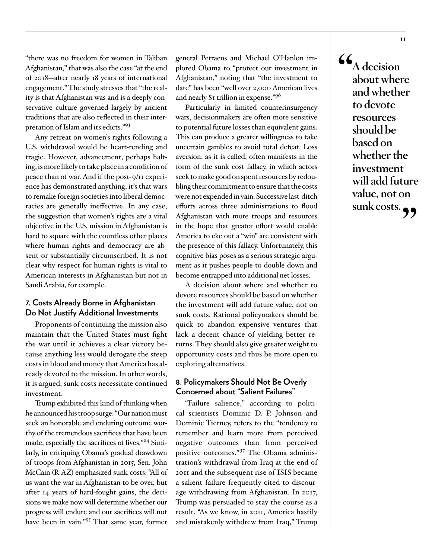"there was no freedom for women in Taliban Afghanistan," that was also the case "at the end of 2018—after nearly 18 years of international engagement." The study stresses that "the reality is that Afghanistan was and is a deeply conservative culture governed largely by ancient traditions that are also reflected in their interpretation of Islam and its edicts."93

Any retreat on women's rights following a U.S. withdrawal would be heart-rending and tragic. However, advancement, perhaps halting, is more likely to take place in a condition of peace than of war. And if the post-9/11 experience has demonstrated anything, it's that wars to remake foreign societies into liberal democracies are generally ineffective. In any case, the suggestion that women's rights are a vital objective in the U.S. mission in Afghanistan is hard to square with the countless other places where human rights and democracy are absent or substantially circumscribed. It is not clear why respect for human rights is vital to American interests in Afghanistan but not in Saudi Arabia, for example.

### **7. Costs Already Borne in Afghanistan Do Not Justify Additional Investments**

Proponents of continuing the mission also maintain that the United States must fight the war until it achieves a clear victory because anything less would derogate the steep costs in blood and money that America has already devoted to the mission. In other words, it is argued, sunk costs necessitate continued investment.

Trump exhibited this kind of thinking when he announced his troop surge: "Our nation must seek an honorable and enduring outcome worthy of the tremendous sacrifices that have been made, especially the sacrifices of lives."94 Similarly, in critiquing Obama's gradual drawdown of troops from Afghanistan in 2015, Sen. John McCain (R-AZ) emphasized sunk costs: "All of us want the war in Afghanistan to be over, but after 14 years of hard-fought gains, the decisions we make now will determine whether our progress will endure and our sacrifices will not have been in vain."95 That same year, former

general Petraeus and Michael O'Hanlon implored Obama to "protect our investment in Afghanistan," noting that "the investment to date" has been "well over 2,000 American lives and nearly \$1 trillion in expense."96

Particularly in limited counterinsurgency wars, decisionmakers are often more sensitive to potential future losses than equivalent gains. This can produce a greater willingness to take uncertain gambles to avoid total defeat. Loss aversion, as it is called, often manifests in the form of the sunk cost fallacy, in which actors seek to make good on spent resources by redoubling their commitment to ensure that the costs were not expended in vain. Successive last-ditch efforts across three administrations to flood Afghanistan with more troops and resources in the hope that greater effort would enable America to eke out a "win" are consistent with the presence of this fallacy. Unfortunately, this cognitive bias poses as a serious strategic argument as it pushes people to double down and become entrapped into additional net losses.

A decision about where and whether to devote resources should be based on whether the investment will add future value, not on sunk costs. Rational policymakers should be quick to abandon expensive ventures that lack a decent chance of yielding better returns. They should also give greater weight to opportunity costs and thus be more open to exploring alternatives.

### **8. Policymakers Should Not Be Overly Concerned about "Salient Failures"**

"Failure salience," according to political scientists Dominic D. P. Johnson and Dominic Tierney, refers to the "tendency to remember and learn more from perceived negative outcomes than from perceived positive outcomes."97 The Obama administration's withdrawal from Iraq at the end of 2011 and the subsequent rise of ISIS became a salient failure frequently cited to discourage withdrawing from Afghanistan. In 2017, Trump was persuaded to stay the course as a result. "As we know, in 2011, America hastily and mistakenly withdrew from Iraq," Trump

**"A decision about where and whether to devote resources should be based on whether the investment will add future value, not on sunk costs."**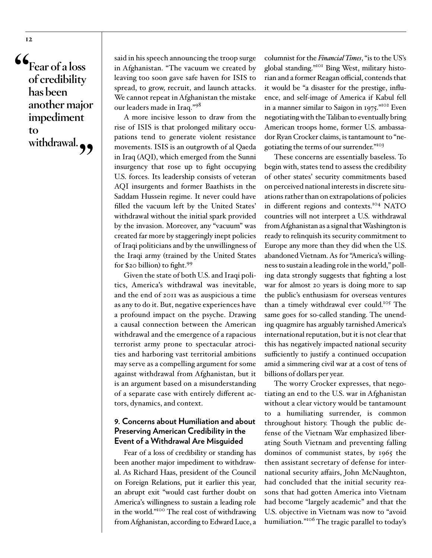**"Fear of a loss of credibility has been another major impediment to withdrawal."**

said in his speech announcing the troop surge in Afghanistan. "The vacuum we created by leaving too soon gave safe haven for ISIS to spread, to grow, recruit, and launch attacks. We cannot repeat in Afghanistan the mistake our leaders made in Iraq."<sup>98</sup>

A more incisive lesson to draw from the rise of ISIS is that prolonged military occupations tend to generate violent resistance movements. ISIS is an outgrowth of al Qaeda in Iraq (AQI), which emerged from the Sunni insurgency that rose up to fight occupying U.S. forces. Its leadership consists of veteran AQI insurgents and former Baathists in the Saddam Hussein regime. It never could have filled the vacuum left by the United States' withdrawal without the initial spark provided by the invasion. Moreover, any "vacuum" was created far more by staggeringly inept policies of Iraqi politicians and by the unwillingness of the Iraqi army (trained by the United States for \$20 billion) to fight.<sup>99</sup>

Given the state of both U.S. and Iraqi politics, America's withdrawal was inevitable, and the end of 2011 was as auspicious a time as any to do it. But, negative experiences have a profound impact on the psyche. Drawing a causal connection between the American withdrawal and the emergence of a rapacious terrorist army prone to spectacular atrocities and harboring vast territorial ambitions may serve as a compelling argument for some against withdrawal from Afghanistan, but it is an argument based on a misunderstanding of a separate case with entirely different actors, dynamics, and context.

### **9. Concerns about Humiliation and about Preserving American Credibility in the Event of a Withdrawal Are Misguided**

Fear of a loss of credibility or standing has been another major impediment to withdrawal. As Richard Haas, president of the Council on Foreign Relations, put it earlier this year, an abrupt exit "would cast further doubt on America's willingness to sustain a leading role in the world."100 The real cost of withdrawing from Afghanistan, [according to](https://www.ft.com/content/621fe9a6-5643-11e9-91f9-b6515a54c5b1) Edward Luce, a

columnist for the *Financial Times*, "is to the US's global standing."101 Bing West, military historian and a former Reagan official, contends that it would be "a disaster for the prestige, influence, and self-image of America if Kabul fell in a manner similar to Saigon in 1975."102 Even negotiating with the Taliban to eventually bring American troops home, former U.S. ambassador Ryan Crocker claims, is tantamount to "negotiating the terms of our surrender."<sup>103</sup>

These concerns are essentially baseless. To begin with, states tend to assess the credibility of other states' security commitments based on perceived national interests in discrete situations rather than on extrapolations of policies in different regions and contexts.<sup>104</sup> NATO countries will not interpret a U.S. withdrawal from Afghanistan as a signal that Washington is ready to relinquish its security commitment to Europe any more than they did when the U.S. abandoned Vietnam. As for "America's willingness to sustain a leading role in the world," polling data strongly suggests that fighting a lost war for almost 20 years is doing more to sap the public's enthusiasm for overseas ventures than a timely withdrawal ever could.105 The same goes for so-called standing. The unending quagmire has arguably tarnished America's international reputation, but it is not clear that this has negatively impacted national security sufficiently to justify a continued occupation amid a simmering civil war at a cost of tens of billions of dollars per year.

The worry Crocker expresses, that negotiating an end to the U.S. war in Afghanistan without a clear victory would be tantamount to a humiliating surrender, is common throughout history. Though the public defense of the Vietnam War emphasized liberating South Vietnam and preventing falling dominos of communist states, by 1965 the then assistant secretary of defense for international security affairs, John McNaughton, had concluded that the initial security reasons that had gotten America into Vietnam had become "largely academic" and that the U.S. objective in Vietnam was now to "avoid humiliation."<sup>106</sup> The tragic parallel to today's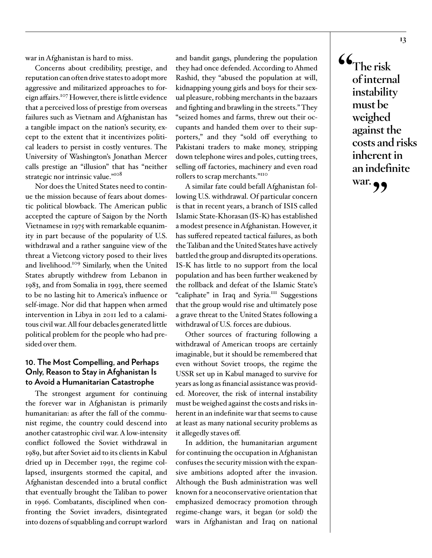war in Afghanistan is hard to miss.

Concerns about credibility, prestige, and reputation can often drive states to adopt more aggressive and militarized approaches to foreign affairs.107 However, there is little evidence that a perceived loss of prestige from overseas failures such as Vietnam and Afghanistan has a tangible impact on the nation's security, except to the extent that it incentivizes political leaders to persist in costly ventures. The University of Washington's Jonathan Mercer calls prestige an "illusion" that has "neither strategic nor intrinsic value."<sup>108</sup>

Nor does the United States need to continue the mission because of fears about domestic political blowback. The American public accepted the capture of Saigon by the North Vietnamese in 1975 with remarkable equanimity in part because of the popularity of U.S. withdrawal and a rather sanguine view of the threat a Vietcong victory posed to their lives and livelihood.109 Similarly, when the United States abruptly withdrew from Lebanon in 1983, and from Somalia in 1993, there seemed to be no lasting hit to America's influence or self-image. Nor did that happen when armed intervention in Libya in 2011 led to a calamitous civil war. All four debacles generated little political problem for the people who had presided over them.

### **10. The Most Compelling, and Perhaps Only, Reason to Stay in Afghanistan Is to Avoid a Humanitarian Catastrophe**

The strongest argument for continuing the forever war in Afghanistan is primarily humanitarian: as after the fall of the communist regime, the country could descend into another catastrophic civil war. A low-intensity conflict followed the Soviet withdrawal in 1989, but after Soviet aid to its clients in Kabul dried up in December 1991, the regime collapsed, insurgents stormed the capital, and Afghanistan descended into a brutal conflict that eventually brought the Taliban to power in 1996. Combatants, disciplined when confronting the Soviet invaders, disintegrated into dozens of squabbling and corrupt warlord

and bandit gangs, plundering the population they had once defended. According to Ahmed Rashid, they "abused the population at will, kidnapping young girls and boys for their sexual pleasure, robbing merchants in the bazaars and fighting and brawling in the streets." They "seized homes and farms, threw out their occupants and handed them over to their supporters," and they "sold off everything to Pakistani traders to make money, stripping down telephone wires and poles, cutting trees, selling off factories, machinery and even road rollers to scrap merchants."110

A similar fate could befall Afghanistan following U.S. withdrawal. Of particular concern is that in recent years, a branch of ISIS called Islamic State-Khorasan (IS-K) has established a modest presence in Afghanistan. However, it has suffered repeated tactical failures, as both the Taliban and the United States have actively battled the group and disrupted its operations. IS-K has little to no support from the local population and has been further weakened by the rollback and defeat of the Islamic State's "caliphate" in Iraq and Syria.<sup>111</sup> Suggestions that the group would rise and ultimately pose a grave threat to the United States following a withdrawal of U.S. forces are dubious.

Other sources of fracturing following a withdrawal of American troops are certainly imaginable, but it should be remembered that even without Soviet troops, the regime the USSR set up in Kabul managed to survive for years as long as financial assistance was provided. Moreover, the risk of internal instability must be weighed against the costs and risks inherent in an indefinite war that seems to cause at least as many national security problems as it allegedly staves off.

In addition, the humanitarian argument for continuing the occupation in Afghanistan confuses the security mission with the expansive ambitions adopted after the invasion. Although the Bush administration was well known for a neoconservative orientation that emphasized democracy promotion through regime-change wars, it began (or sold) the wars in Afghanistan and Iraq on national

**"The risk of internal instability must be weighed against the costs and risks inherent in an indefinite war."**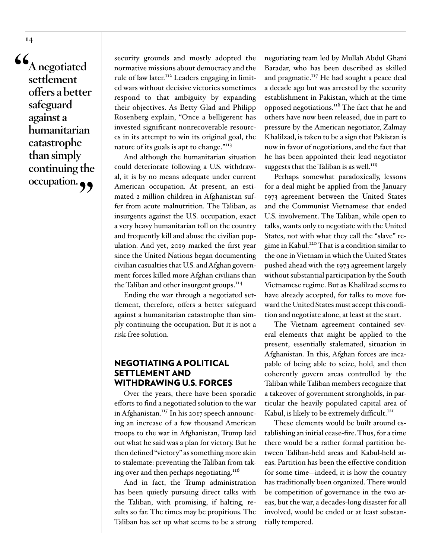**"A negotiated settlement offers a better safeguard against a humanitarian catastrophe than simply continuing the**  occupation.

security grounds and mostly adopted the normative missions about democracy and the rule of law later.<sup>112</sup> Leaders engaging in limited wars without decisive victories sometimes respond to that ambiguity by expanding their objectives. As Betty Glad and Philipp Rosenberg explain, "Once a belligerent has invested significant nonrecoverable resources in its attempt to win its original goal, the nature of its goals is apt to change."<sup>113</sup>

And although the humanitarian situation could deteriorate following a U.S. withdrawal, it is by no means adequate under current American occupation. At present, an estimated 2 million children in Afghanistan suffer from acute malnutrition. The Taliban, as insurgents against the U.S. occupation, exact a very heavy humanitarian toll on the country and frequently kill and abuse the civilian population. And yet, 2019 marked the first year since the United Nations began documenting civilian casualties that U.S. and Afghan government forces killed more Afghan civilians than the Taliban and other insurgent groups.<sup>114</sup>

Ending the war through a negotiated settlement, therefore, offers a better safeguard against a humanitarian catastrophe than simply continuing the occupation. But it is not a risk-free solution.

### NEGOTIATING A POLITICAL SETTLEMENT AND WITHDRAWING U.S. FORCES

Over the years, there have been sporadic efforts to find a negotiated solution to the war in Afghanistan.<sup>115</sup> In his 2017 speech announcing an increase of a few thousand American troops to the war in Afghanistan, Trump laid out what he said was a plan for victory. But he then defined "victory" as something more akin to stalemate: preventing the Taliban from taking over and then perhaps negotiating.<sup>116</sup>

And in fact, the Trump administration has been quietly pursuing direct talks with the Taliban, with promising, if halting, results so far. The times may be propitious. The Taliban has set up what seems to be a strong

negotiating team led by Mullah Abdul Ghani Baradar, who has been described as skilled and pragmatic.<sup>117</sup> He had sought a peace deal a decade ago but was arrested by the security establishment in Pakistan, which at the time opposed negotiations.118 The fact that he and others have now been released, due in part to pressure by the American negotiator, Zalmay Khalilzad, is taken to be a sign that Pakistan is now in favor of negotiations, and the fact that he has been appointed their lead negotiator suggests that the Taliban is as well.<sup>119</sup>

Perhaps somewhat paradoxically, lessons for a deal might be applied from the January 1973 agreement between the United States and the Communist Vietnamese that ended U.S. involvement. The Taliban, while open to talks, wants only to negotiate with the United States, not with what they call the "slave" regime in Kabul.120 That is a condition similar to the one in Vietnam in which the United States pushed ahead with the 1973 agreement largely without substantial participation by the South Vietnamese regime. But as Khalilzad seems to have already accepted, for talks to move forward the United States must accept this condition and negotiate alone, at least at the start.

The Vietnam agreement contained several elements that might be applied to the present, essentially stalemated, situation in Afghanistan. In this, Afghan forces are incapable of being able to seize, hold, and then coherently govern areas controlled by the Taliban while Taliban members recognize that a takeover of government strongholds, in particular the heavily populated capital area of Kabul, is likely to be extremely difficult.<sup>121</sup>

These elements would be built around establishing an initial cease-fire. Thus, for a time there would be a rather formal partition between Taliban-held areas and Kabul-held areas. Partition has been the effective condition for some time—indeed, it is how the country has traditionally been organized. There would be competition of governance in the two areas, but the war, a decades-long disaster for all involved, would be ended or at least substantially tempered.

**14**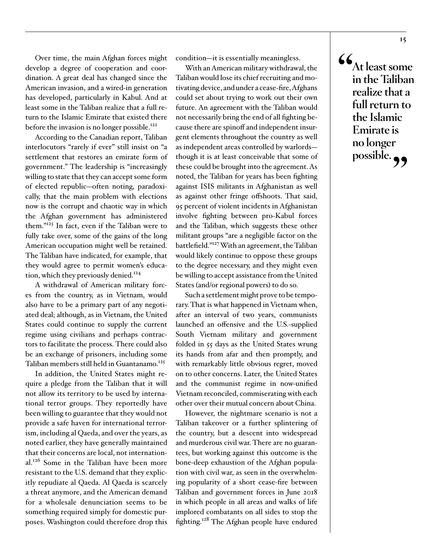Over time, the main Afghan forces might develop a degree of cooperation and coordination. A great deal has changed since the American invasion, and a wired-in generation has developed, particularly in Kabul. And at least some in the Taliban realize that a full return to the Islamic Emirate that existed there before the invasion is no longer possible.<sup>122</sup>

According to the Canadian report, Taliban interlocutors "rarely if ever" still insist on "a settlement that restores an emirate form of government." The leadership is "increasingly willing to state that they can accept some form of elected republic—often noting, paradoxically, that the main problem with elections now is the corrupt and chaotic way in which the Afghan government has administered them."123 In fact, even if the Taliban were to fully take over, some of the gains of the long American occupation might well be retained. The Taliban have indicated, for example, that they would agree to permit women's education, which they previously denied.<sup>124</sup>

A withdrawal of American military forces from the country, as in Vietnam, would also have to be a primary part of any negotiated deal; although, as in Vietnam, the United States could continue to supply the current regime using civilians and perhaps contractors to facilitate the process. There could also be an exchange of prisoners, including some Taliban members still held in Guantanamo.<sup>125</sup>

In addition, the United States might require a pledge from the Taliban that it will not allow its territory to be used by international terror groups. They reportedly have been willing to guarantee that they would not provide a safe haven for international terrorism, including al Qaeda, and over the years, as noted earlier, they have generally maintained that their concerns are local, not international.<sup>126</sup> Some in the Taliban have been more resistant to the U.S. demand that they explicitly repudiate al Qaeda. Al Qaeda is scarcely a threat anymore, and the American demand for a wholesale denunciation seems to be something required simply for domestic purposes. Washington could therefore drop this

condition—it is essentially meaningless.

With an American military withdrawal, the Taliban would lose its chief recruiting and motivating device, and under a cease-fire, Afghans could set about trying to work out their own future. An agreement with the Taliban would not necessarily bring the end of all fighting because there are spinoff and independent insurgent elements throughout the country as well as independent areas controlled by warlords though it is at least conceivable that some of these could be brought into the agreement. As noted, the Taliban for years has been fighting against ISIS militants in Afghanistan as well as against other fringe offshoots. That said, 95 percent of violent incidents in Afghanistan involve fighting between pro-Kabul forces and the Taliban, which suggests these other militant groups "are a negligible factor on the battlefield."127 With an agreement, the Taliban would likely continue to oppose these groups to the degree necessary, and they might even be willing to accept assistance from the United States (and/or regional powers) to do so.

Such a settlement might prove to be temporary. That is what happened in Vietnam when, after an interval of two years, communists launched an offensive and the U.S.-supplied South Vietnam military and government folded in 55 days as the United States wrung its hands from afar and then promptly, and with remarkably little obvious regret, moved on to other concerns. Later, the United States and the communist regime in now-unified Vietnam reconciled, commiserating with each other over their mutual concern about China.

However, the nightmare scenario is not a Taliban takeover or a further splintering of the country, but a descent into widespread and murderous civil war. There are no guarantees, but working against this outcome is the bone-deep exhaustion of the Afghan population with civil war, as seen in the overwhelming popularity of a short cease-fire between Taliban and government forces in June 2018 in which people in all areas and walks of life implored combatants on all sides to stop the fighting.<sup>128</sup> The Afghan people have endured **"At least some in the Taliban realize that a full return to the Islamic Emirate is no longer**  possible.<sub>??</sub>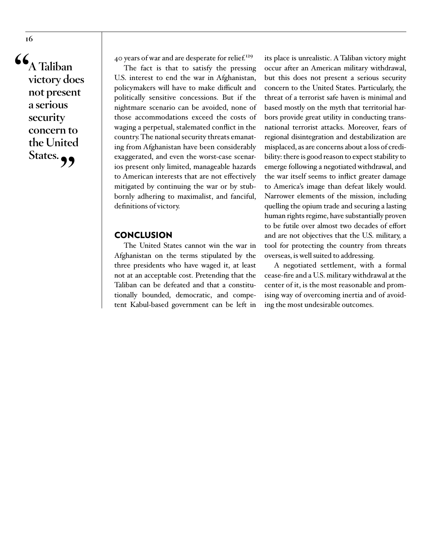**"A Taliban victory does not present a serious security concern to the United**  States.<sub>?</sub>

40 years of war and are desperate for relief.<sup>129</sup>

The fact is that to satisfy the pressing U.S. interest to end the war in Afghanistan, policymakers will have to make difficult and politically sensitive concessions. But if the nightmare scenario can be avoided, none of those accommodations exceed the costs of waging a perpetual, stalemated conflict in the country. The national security threats emanating from Afghanistan have been considerably exaggerated, and even the worst-case scenarios present only limited, manageable hazards to American interests that are not effectively mitigated by continuing the war or by stubbornly adhering to maximalist, and fanciful, definitions of victory.

### **CONCLUSION**

The United States cannot win the war in Afghanistan on the terms stipulated by the three presidents who have waged it, at least not at an acceptable cost. Pretending that the Taliban can be defeated and that a constitutionally bounded, democratic, and competent Kabul-based government can be left in

its place is unrealistic. A Taliban victory might occur after an American military withdrawal, but this does not present a serious security concern to the United States. Particularly, the threat of a terrorist safe haven is minimal and based mostly on the myth that territorial harbors provide great utility in conducting transnational terrorist attacks. Moreover, fears of regional disintegration and destabilization are misplaced, as are concerns about a loss of credibility: there is good reason to expect stability to emerge following a negotiated withdrawal, and the war itself seems to inflict greater damage to America's image than defeat likely would. Narrower elements of the mission, including quelling the opium trade and securing a lasting human rights regime, have substantially proven to be futile over almost two decades of effort and are not objectives that the U.S. military, a tool for protecting the country from threats overseas, is well suited to addressing.

A negotiated settlement, with a formal cease-fire and a U.S. military withdrawal at the center of it, is the most reasonable and promising way of overcoming inertia and of avoiding the most undesirable outcomes.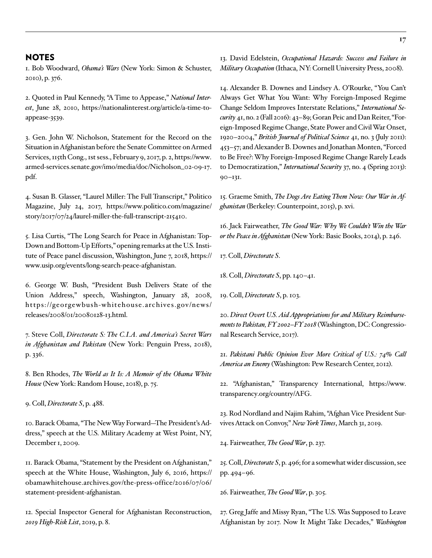### NOTES

1. Bob Woodward, *Obama's Wars* (New York: Simon & Schuster, 2010), p. 376.

2. Quoted in Paul Kennedy, "A Time to Appease," *National Interest*, June 28, 2010, [https://nationalinterest.org/article/a-time-to](https://nationalinterest.org/article/a-time-to-appease-3539)[appease-3539.](https://nationalinterest.org/article/a-time-to-appease-3539)

3. Gen. John W. Nicholson, Statement for the Record on the Situation in Afghanistan before the Senate Committee on Armed Services, 115th Cong., 1st sess., February 9, 2017, p. 2, [https://www.](https://www.armed-services.senate.gov/imo/media/doc/Nicholson_02-09-17.pdf) [armed-services.senate.gov/imo/media/doc/Nicholson\\_02-09-17.](https://www.armed-services.senate.gov/imo/media/doc/Nicholson_02-09-17.pdf) [pdf.](https://www.armed-services.senate.gov/imo/media/doc/Nicholson_02-09-17.pdf)

4. Susan B. Glasser, "Laurel Miller: The Full Transcript," Politico Magazine, July 24, 2017, [https://www.politico.com/magazine/](https://www.politico.com/magazine/story/2017/07/24/laurel-miller-the-full-transcript-215410) [story/2017/07/24/laurel-miller-the-full-transcript-215410.](https://www.politico.com/magazine/story/2017/07/24/laurel-miller-the-full-transcript-215410)

5. Lisa Curtis, "The Long Search for Peace in Afghanistan: Top-Down and Bottom-Up Efforts," opening remarks at the U.S. Institute of Peace panel discussion, Washington, June 7, 2018, [https://](https://www.usip.org/events/long-search-peace-afghanistan) [www.usip.org/events/long-search-peace-afghanistan.](https://www.usip.org/events/long-search-peace-afghanistan)

6. George W. Bush, "President Bush Delivers State of the Union Address," speech, Washington, January 28, 2008, [https://georgewbush-whitehouse.archives.gov/news/](https://georgewbush-whitehouse.archives.gov/news/releases/2008/01/20080128-13.html) [releases/2008/01/20080128-13.html](https://georgewbush-whitehouse.archives.gov/news/releases/2008/01/20080128-13.html).

7. Steve Coll, *Directorate S: The C.I.A. and America's Secret Wars in Afghanistan and Pakistan* (New York: Penguin Press, 2018), p. 336.

8. Ben Rhodes, *The World as It Is: A Memoir of the Obama White House* (New York: Random House, 2018), p. 75.

9. Coll, *Directorate S*, p. 488.

10. Barack Obama, "The New Way Forward—The President's Address," speech at the U.S. Military Academy at West Point, NY, December 1, 2009.

11. Barack Obama, "Statement by the President on Afghanistan," speech at the White House, Washington, July 6, 2016, [https://](https://obamawhitehouse.archives.gov/the-press-office/2016/07/06/statement-president-afghanistan) [obamawhitehouse.archives.gov/the-press-office/2016/07/06/](https://obamawhitehouse.archives.gov/the-press-office/2016/07/06/statement-president-afghanistan) [statement-president-afghanistan.](https://obamawhitehouse.archives.gov/the-press-office/2016/07/06/statement-president-afghanistan)

12. Special Inspector General for Afghanistan Reconstruction, *2019 High-Risk List*, 2019, p. 8.

13. David Edelstein, *Occupational Hazards: Success and Failure in Military Occupation* (Ithaca, NY: Cornell University Press, 2008).

14. Alexander B. Downes and Lindsey A. O'Rourke, "You Can't Always Get What You Want: Why Foreign-Imposed Regime Change Seldom Improves Interstate Relations," *International Security* 41, no. 2 (Fall 2016): 43–89; Goran Peic and Dan Reiter, "Foreign-Imposed Regime Change, State Power and Civil War Onset, 1920–2004," *British Journal of Political Science* 41, no. 3 (July 2011): 453–57; and Alexander B. Downes and Jonathan Monten, "Forced to Be Free?: Why Foreign-Imposed Regime Change Rarely Leads to Democratization," *International Security* 37, no. 4 (Spring 2013): 90–131.

15. Graeme Smith, *The Dogs Are Eating Them Now: Our War in Afghanistan* (Berkeley: Counterpoint, 2015), p. xvi.

16. Jack Fairweather, *The Good War: Why We Couldn't Win the War or the Peace in Afghanistan* (New York: Basic Books, 2014), p. 246.

17. Coll, *Directorate S*.

18. Coll, *Directorate S*, pp. 140–41.

19. Coll, *Directorate S*, p. 103.

20. *Direct Overt U.S. Aid Appropriations for and Military Reimbursements to Pakistan, FY 2002–FY 2018* (Washington, DC: Congressional Research Service, 2017).

21. *Pakistani Public Opinion Ever More Critical of U.S.: 74% Call America an Enemy* (Washington: Pew Research Center, 2012).

22. "Afghanistan," Transparency International, [https://www.](https://www.transparency.org/country/AFG) [transparency.org/country/AFG.](https://www.transparency.org/country/AFG)

23. Rod Nordland and Najim Rahim, "Afghan Vice President Survives Attack on Convoy," *New York Times*, March 31, 2019.

24. Fairweather, *The Good War*, p. 237.

25. Coll, *Directorate S*, p. 496; for a somewhat wider discussion, see pp. 494–96.

26. Fairweather, *The Good War*, p. 305.

27. Greg Jaffe and Missy Ryan, "The U.S. Was Supposed to Leave Afghanistan by 2017. Now It Might Take Decades," *Washington*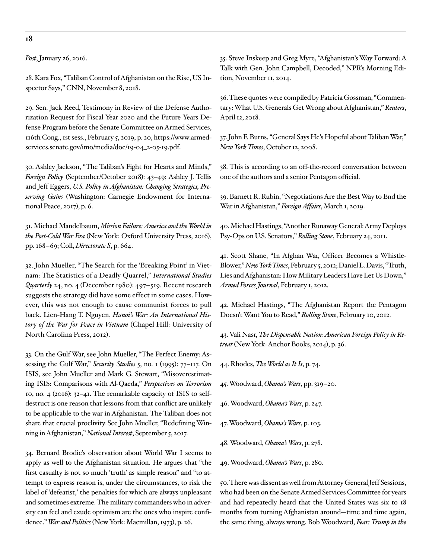**18**

*Post*, January 26, 2016.

28. Kara Fox, "Taliban Control of Afghanistan on the Rise, US Inspector Says," CNN, November 8, 2018.

29. Sen. Jack Reed, Testimony in Review of the Defense Authorization Request for Fiscal Year 2020 and the Future Years Defense Program before the Senate Committee on Armed Services, 116th Cong., 1st sess., February 5, 2019, p. 20, [https://www.armed](https://www.armed-services.senate.gov/imo/media/doc/19-04_2-05-19.pdf)[services.senate.gov/imo/media/doc/19-04\\_2-05-19.pdf.](https://www.armed-services.senate.gov/imo/media/doc/19-04_2-05-19.pdf)

30. Ashley Jackson, "The Taliban's Fight for Hearts and Minds," *Foreign Policy* (September/October 2018): 43–49; Ashley J. Tellis and Jeff Eggers, *U.S. Policy in Afghanistan: Changing Strategies, Preserving Gains* (Washington: Carnegie Endowment for International Peace, 2017), p. 6.

31. Michael Mandelbaum, *Mission Failure: America and the World in the Post-Cold War Era* (New York: Oxford University Press, 2016), pp. 168–69; Coll, *Directorate S*, p. 664.

32. John Mueller, "The Search for the 'Breaking Point' in Vietnam: The Statistics of a Deadly Quarrel," *International Studies Quarterly* 24, no. 4 (December 1980): 497–519. Recent research suggests the strategy did have some effect in some cases. However, this was not enough to cause communist forces to pull back. Lien-Hang T. Nguyen, *Hanoi's War: An International History of the War for Peace in Vietnam* (Chapel Hill: University of North Carolina Press, 2012).

33. On the Gulf War, see John Mueller, "The Perfect Enemy: Assessing the Gulf War," *Security Studies* 5, no. 1 (1995): 77–117. On ISIS, see John Mueller and Mark G. Stewart, "Misoverestimating ISIS: Comparisons with Al-Qaeda," *Perspectives on Terrorism* 10, no. 4 (2016): 32–41. The remarkable capacity of ISIS to selfdestruct is one reason that lessons from that conflict are unlikely to be applicable to the war in Afghanistan. The Taliban does not share that crucial proclivity. See John Mueller, "Redefining Winning in Afghanistan," *National Interest*, September 5, 2017.

34. Bernard Brodie's observation about World War I seems to apply as well to the Afghanistan situation. He argues that "the first casualty is not so much 'truth' as simple reason" and "to attempt to express reason is, under the circumstances, to risk the label of 'defeatist,' the penalties for which are always unpleasant and sometimes extreme. The military commanders who in adversity can feel and exude optimism are the ones who inspire confidence." *War and Politics* (New York: Macmillan, 1973), p. 26.

35. Steve Inskeep and Greg Myre, "Afghanistan's Way Forward: A Talk with Gen. John Campbell, Decoded," NPR's Morning Edition, November 11, 2014.

36. These quotes were compiled by Patricia Gossman, "Commentary: What U.S. Generals Get Wrong about Afghanistan," *Reuters*, April 12, 2018.

37. John F. Burns, "General Says He's Hopeful about Taliban War," *New York Times*, October 12, 2008.

38. This is according to an off-the-record conversation between one of the authors and a senior Pentagon official.

39. Barnett R. Rubin, "Negotiations Are the Best Way to End the War in Afghanistan," *Foreign Affairs*, March 1, 2019.

40. Michael Hastings, "Another Runaway General: Army Deploys Psy-Ops on U.S. Senators," *Rolling Stone*, February 24, 2011.

41. Scott Shane, "In Afghan War, Officer Becomes a Whistle-Blower," *New York Times*, February 5, 2012; Daniel L. Davis, "Truth, Lies and Afghanistan: How Military Leaders Have Let Us Down," *Armed Forces Journal*, February 1, 2012.

42. Michael Hastings, "The Afghanistan Report the Pentagon Doesn't Want You to Read," *Rolling Stone*, February 10, 2012.

43. Vali Nasr, *The Dispensable Nation: American Foreign Policy in Retreat* (New York: Anchor Books, 2014), p. 36.

44. Rhodes, *The World as It Is*, p. 74.

45. Woodward, *Obama's Wars*, pp. 319–20.

46. Woodward, *Obama's Wars*, p. 247.

47. Woodward, *Obama's Wars*, p. 103.

48. Woodward, *Obama's Wars*, p. 278.

49. Woodward, *Obama's Wars*, p. 280.

50. There was dissent as well from Attorney General Jeff Sessions, who had been on the Senate Armed Services Committee for years and had repeatedly heard that the United States was six to 18 months from turning Afghanistan around—time and time again, the same thing, always wrong. Bob Woodward, *Fear: Trump in the*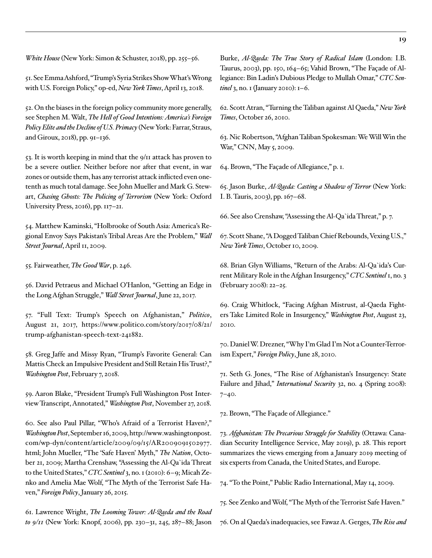*White House* (New York: Simon & Schuster, 2018), pp. 255–56.

51. See Emma Ashford, "Trump's Syria Strikes Show What's Wrong with U.S. Foreign Policy," op-ed, *New York Times*, April 13, 2018.

52. On the biases in the foreign policy community more generally, see Stephen M. Walt, *The Hell of Good Intentions: America's Foreign Policy Elite and the Decline of U.S. Primacy* (New York: Farrar, Straus, and Giroux, 2018), pp. 91–136.

53. It is worth keeping in mind that the 9/11 attack has proven to be a severe outlier. Neither before nor after that event, in war zones or outside them, has any terrorist attack inflicted even onetenth as much total damage. See John Mueller and Mark G. Stewart, *Chasing Ghosts: The Policing of Terrorism* (New York: Oxford University Press, 2016), pp. 117–21.

54. Matthew Kaminski, "Holbrooke of South Asia: America's Regional Envoy Says Pakistan's Tribal Areas Are the Problem," *Wall Street Journal*, April 11, 2009.

55. Fairweather, *The Good War*, p. 246.

56. David Petraeus and Michael O'Hanlon, "Getting an Edge in the Long Afghan Struggle," *Wall Street Journal*, June 22, 2017.

57. "Full Text: Trump's Speech on Afghanistan," *Politico*, August 21, 2017, [https://www.politico.com/story/2017/08/21/](https://www.politico.com/story/2017/08/21/trump-afghanistan-speech-text-241882) [trump-afghanistan-speech-text-241882.](https://www.politico.com/story/2017/08/21/trump-afghanistan-speech-text-241882)

58. Greg Jaffe and Missy Ryan, "Trump's Favorite General: Can Mattis Check an Impulsive President and Still Retain His Trust?," *Washington Post*, February 7, 2018.

59. Aaron Blake, "President Trump's Full Washington Post Interview Transcript, Annotated," *Washington Post*, November 27, 2018.

60. See also Paul Pillar, "Who's Afraid of a Terrorist Haven?," *Washington Post*, September 16, 2009, [http://www.washingtonpost.](http://www.washingtonpost.com/wp-dyn/content/article/2009/09/15/AR2009091502977.html) [com/wp-dyn/content/article/2009/09/15/AR2009091502977.](http://www.washingtonpost.com/wp-dyn/content/article/2009/09/15/AR2009091502977.html) [html;](http://www.washingtonpost.com/wp-dyn/content/article/2009/09/15/AR2009091502977.html) John Mueller, "The 'Safe Haven' Myth," *The Nation*, October 21, 2009; Martha Crenshaw, "Assessing the Al-Qa`ida Threat to the United States," *CTC Sentinel* 3, no. 1 (2010): 6–9; Micah Zenko and Amelia Mae Wolf, "The Myth of the Terrorist Safe Haven," *Foreign Policy*, January 26, 2015.

61. Lawrence Wright, *The Looming Tower: Al-Qaeda and the Road to 9/11* (New York: Knopf, 2006), pp. 230–31, 245, 287–88; Jason

Burke, *Al-Qaeda: The True Story of Radical Islam* (London: I.B. Taurus, 2003), pp. 150, 164–65; Vahid Brown, "The Façade of Allegiance: Bin Ladin's Dubious Pledge to Mullah Omar," *CTC Sentinel* 3, no. 1 (January 2010): 1–6.

62. Scott Atran, "Turning the Taliban against Al Qaeda," *New York Times*, October 26, 2010.

63. Nic Robertson, "Afghan Taliban Spokesman: We Will Win the War," CNN, May 5, 2009.

64. Brown, "The Façade of Allegiance," p. 1.

65. Jason Burke, *Al-Qaeda: Casting a Shadow of Terror* (New York: I. B. Tauris, 2003), pp. 167–68.

66. See also Crenshaw, "Assessing the Al-Qa`ida Threat," p. 7.

67. Scott Shane, "A Dogged Taliban Chief Rebounds, Vexing U.S.," *New York Times*, October 10, 2009.

68. Brian Glyn Williams, "Return of the Arabs: Al-Qa`ida's Current Military Role in the Afghan Insurgency," *CTC Sentinel* 1, no. 3 (February 2008): 22–25.

69. Craig Whitlock, "Facing Afghan Mistrust, al-Qaeda Fighters Take Limited Role in Insurgency," *Washington Post*, August 23, 2010.

70. Daniel W. Drezner, "Why I'm Glad I'm Not a Counter-Terrorism Expert," *Foreign Policy*, June 28, 2010.

71. Seth G. Jones, "The Rise of Afghanistan's Insurgency: State Failure and Jihad," *International Security* 32, no. 4 (Spring 2008): 7–40.

72. Brown, "The Façade of Allegiance."

73. *Afghanistan: The Precarious Struggle for Stability* (Ottawa: Canadian Security Intelligence Service, May 2019), p. 28. This report summarizes the views emerging from a January 2019 meeting of six experts from Canada, the United States, and Europe.

74. "To the Point," Public Radio International, May 14, 2009.

75. See Zenko and Wolf, "The Myth of the Terrorist Safe Haven."

76. On al Qaeda's inadequacies, see Fawaz A. Gerges, *The Rise and*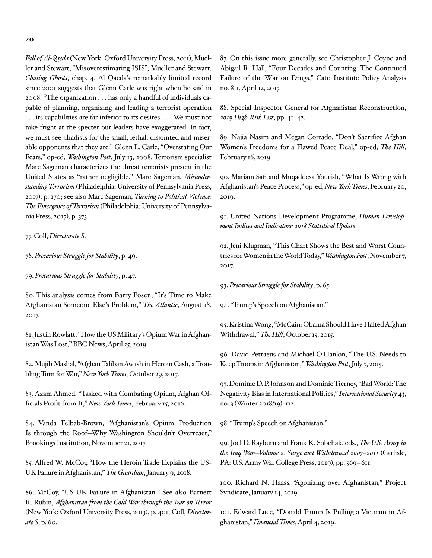*Fall of Al-Qaeda* (New York: Oxford University Press, 2011); Mueller and Stewart, "Misoverestimating ISIS"; Mueller and Stewart, *Chasing Ghosts*, chap. 4. Al Qaeda's remarkably limited record since 2001 suggests that Glenn Carle was right when he said in 2008: "The organization . . . has only a handful of individuals capable of planning, organizing and leading a terrorist operation . . . its capabilities are far inferior to its desires. . . . We must not take fright at the specter our leaders have exaggerated. In fact, we must see jihadists for the small, lethal, disjointed and miserable opponents that they are." Glenn L. Carle, "Overstating Our Fears," op-ed, *Washington Post*, July 13, 2008. Terrorism specialist Marc Sageman characterizes the threat terrorists present in the United States as "rather negligible." Marc Sageman, *Misunderstanding Terrorism* (Philadelphia: University of Pennsylvania Press, 2017), p. 170; see also Marc Sageman, *Turning to Political Violence: The Emergence of Terrorism* (Philadelphia: University of Pennsylvania Press, 2017), p. 373.

77. Coll, *Directorate S*.

78. *Precarious Struggle for Stability*, p. 49.

79. *Precarious Struggle for Stability*, p. 47.

80. This analysis comes from Barry Posen, "It's Time to Make Afghanistan Someone Else's Problem," *The Atlantic*, August 18, 2017.

81. Justin Rowlatt, "How the US Military's Opium War in Afghanistan Was Lost," BBC News, April 25, 2019.

82. Mujib Mashal, "Afghan Taliban Awash in Heroin Cash, a Troubling Turn for War," *New York Times*, October 29, 2017.

83. Azam Ahmed, "Tasked with Combating Opium, Afghan Officials Profit from It," *New York Times*, February 15, 2016.

84. Vanda Felbab-Brown, "Afghanistan's Opium Production Is through the Roof—Why Washington Shouldn't Overreact," Brookings Institution, November 21, 2017.

85. Alfred W. McCoy, "How the Heroin Trade Explains the US-UK Failure in Afghanistan," *The Guardian*, January 9, 2018.

86. McCoy, "US-UK Failure in Afghanistan." See also Barnett R. Rubin, *Afghanistan from the Cold War through the War on Terror* (New York: Oxford University Press, 2013), p. 401; Coll, *Directorate S*, p. 60.

87. On this issue more generally, see Christopher J. Coyne and Abigail R. Hall, ["Four Decades and Counting: The Continued](https://www.cato.org/publications/policy-analysis/four-decades-counting-continued-failure-war-drugs) [Failure of the War on Drugs](https://www.cato.org/publications/policy-analysis/four-decades-counting-continued-failure-war-drugs)," Cato Institute Policy Analysis no. 811, April 12, 2017.

88. Special Inspector General for Afghanistan Reconstruction, *2019 High-Risk List*, pp. 41–42.

89. Najia Nasim and Megan Corrado, "Don't Sacrifice Afghan Women's Freedoms for a Flawed Peace Deal," op-ed, *The Hill*, February 16, 2019.

90. Mariam Safi and Muqaddesa Yourish, "What Is Wrong with Afghanistan's Peace Process," op-ed, *New York Times*, February 20, 2019.

91. United Nations Development Programme, *Human Development Indices and Indicators: 2018 Statistical Update*.

92. Jeni Klugman, "This Chart Shows the Best and Worst Countries for Women in the World Today," *Washington Post*, November 7, 2017.

93. *Precarious Struggle for Stability*, p. 65.

94. "Trump's Speech on Afghanistan."

95. Kristina Wong, "McCain: Obama Should Have Halted Afghan Withdrawal," The Hill, October 15, 2015.

96. David Petraeus and Michael O'Hanlon, "The U.S. Needs to Keep Troops in Afghanistan," *Washington Post*, July 7, 2015.

97. Dominic D. P. Johnson and Dominic Tierney, "Bad World: The Negativity Bias in International Politics," *International Security* 43, no. 3 (Winter 2018/19): 112.

98. "Trump's Speech on Afghanistan."

99. Joel D. Rayburn and Frank K. Sobchak, eds., *The U.S. Army in the Iraq War—Volume 2: Surge and Withdrawal 2007–2011* (Carlisle, PA: U.S. Army War College Press, 2019), pp. 569–611.

100. Richard N. Haass, "Agonizing over Afghanistan," Project Syndicate, January 14, 2019.

101. Edward Luce, "Donald Trump Is Pulling a Vietnam in Afghanistan," *Financial Times*, April 4, 2019.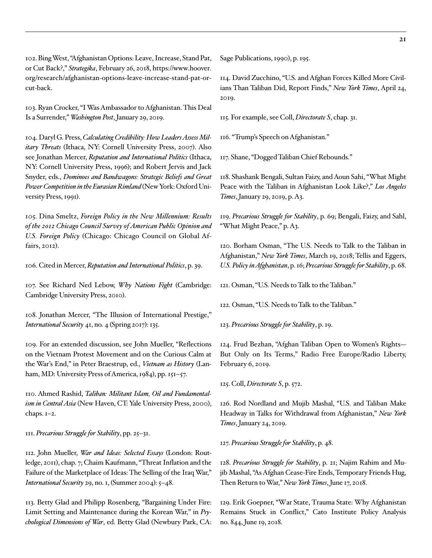102. Bing West, "Afghanistan Options: Leave, Increase, Stand Pat, or Cut Back?," *Strategika*, February 26, 2018, [https://www.hoover.](https://www.hoover.org/research/afghanistan-options-leave-increase-stand-pat-or-cut-back) [org/research/afghanistan-options-leave-increase-stand-pat-or](https://www.hoover.org/research/afghanistan-options-leave-increase-stand-pat-or-cut-back)[cut-back](https://www.hoover.org/research/afghanistan-options-leave-increase-stand-pat-or-cut-back).

103. Ryan Crocker, "I Was Ambassador to Afghanistan. This Deal Is a Surrender," *Washington Post*, January 29, 2019.

104. Daryl G. Press, *Calculating Credibility: How Leaders Assess Military Threats* (Ithaca, NY: Cornell University Press, 2007). Also see Jonathan Mercer, *Reputation and International Politics* (Ithaca, NY: Cornell University Press, 1996); and Robert Jervis and Jack Snyder, eds., *Dominoes and Bandwagons: Strategic Beliefs and Great Power Competition in the Eurasian Rimland* (New York: Oxford University Press, 1991).

105. Dina Smeltz, *Foreign Policy in the New Millennium: Results of the 2012 Chicago Council Survey of American Public Opinion and U.S. Foreign Policy* (Chicago: Chicago Council on Global Affairs, 2012).

106. Cited in Mercer, *Reputation and International Politics*, p. 39.

107. See Richard Ned Lebow, *Why Nations Fight* (Cambridge: Cambridge University Press, 2010).

108. Jonathan Mercer, "The Illusion of International Prestige," *International Security* 41, no. 4 (Spring 2017): 135.

109. For an extended discussion, see John Mueller, "Reflections on the Vietnam Protest Movement and on the Curious Calm at the War's End," in Peter Braestrup, ed., *Vietnam as History* (Lanham, MD: University Press of America, 1984), pp. 151–57.

110. Ahmed Rashid, *Taliban: Militant Islam, Oil and Fundamentalism in Central Asia* (New Haven, CT: Yale University Press, 2000), chaps. 1–2.

111. *Precarious Struggle for Stability*, pp. 25–31.

112. John Mueller, *War and Ideas: Selected Essays* (London: Routledge, 2011), chap. 7; Chaim Kaufmann, "Threat Inflation and the Failure of the Marketplace of Ideas: The Selling of the Iraq War," *International Security* 29, no. 1, (Summer 2004): 5–48.

113. Betty Glad and Philipp Rosenberg, "Bargaining Under Fire: Limit Setting and Maintenance during the Korean War," in *Psychological Dimensions of War*, ed. Betty Glad (Newbury Park, CA: Sage Publications, 1990), p. 195.

114. David Zucchino, "U.S. and Afghan Forces Killed More Civilians Than Taliban Did, Report Finds," *New York Times*, April 24, 2019.

115. For example, see Coll, *Directorate S*, chap. 31.

116. "Trump's Speech on Afghanistan."

117. Shane, "Dogged Taliban Chief Rebounds."

118. Shashank Bengali, Sultan Faizy, and Aoun Sahi, "What Might Peace with the Taliban in Afghanistan Look Like?," *Los Angeles Times*, January 29, 2019, p. A3.

119. *Precarious Struggle for Stability*, p. 69; Bengali, Faizy, and Sahl, "What Might Peace," p. A3.

120. Borham Osman, "The U.S. Needs to Talk to the Taliban in Afghanistan," *New York Times*, March 19, 2018; Tellis and Eggers, *U.S. Policy in Afghanistan*, p. 16; *Precarious Struggle for Stability*, p. 68.

121. Osman, "U.S. Needs to Talk to the Taliban."

122. Osman, "U.S. Needs to Talk to the Taliban."

123. *Precarious Struggle for Stability*, p. 19.

124. Frud Bezhan, "Afghan Taliban Open to Women's Rights— But Only on Its Terms," Radio Free Europe/Radio Liberty, February 6, 2019.

125. Coll, *Directorate S*, p. 572.

126. Rod Nordland and Mujib Mashal, "U.S. and Taliban Make Headway in Talks for Withdrawal from Afghanistan," *New York Times*, January 24, 2019.

127. *Precarious Struggle for Stability*, p. 48.

128. *Precarious Struggle for Stability*, p. 21; Najim Rahim and Mujib Mashal, "As Afghan Cease-Fire Ends, Temporary Friends Hug, Then Return to War," *New York Times*, June 17, 2018.

129. Erik Goepner, "[War State, Trauma State: Why Afghanistan](https://www.cato.org/publications/policy-analysis/war-state-trauma-state-why-afghanistan-remains-stuck-conflict)  [Remains Stuck in Conflict](https://www.cato.org/publications/policy-analysis/war-state-trauma-state-why-afghanistan-remains-stuck-conflict)," Cato Institute Policy Analysis no. 844, June 19, 2018.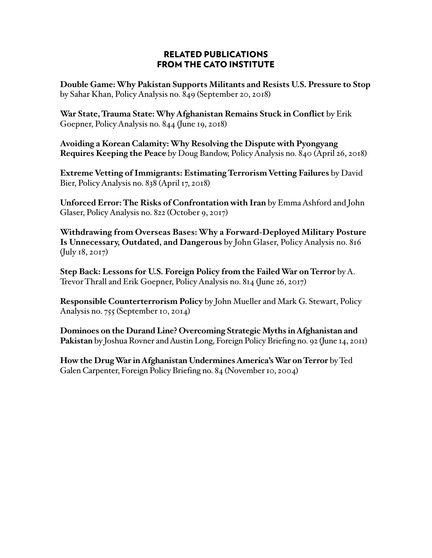### RELATED PUBLICATIONS FROM THE CATO INSTITUTE

**Double Game: Why Pakistan Supports Militants and Resists U.S. Pressure to Stop** by Sahar Khan, Policy Analysis no. 849 (September 20, 2018)

**War State, Trauma State: Why Afghanistan Remains Stuck in Conflict** by Erik Goepner, Policy Analysis no. 844 (June 19, 2018)

**Avoiding a Korean Calamity: Why Resolving the Dispute with Pyongyang Requires Keeping the Peace** by Doug Bandow, Policy Analysis no. 840 (April 26, 2018)

**Extreme Vetting of Immigrants: Estimating Terrorism Vetting Failures** by David Bier, Policy Analysis no. 838 (April 17, 2018)

**Unforced Error: The Risks of Confrontation with Iran** by Emma Ashford and John Glaser, Policy Analysis no. 822 (October 9, 2017)

**Withdrawing from Overseas Bases: Why a Forward-Deployed Military Posture Is Unnecessary, Outdated, and Dangerous** by John Glaser, Policy Analysis no. 816 (July 18, 2017)

**Step Back: Lessons for U.S. Foreign Policy from the Failed War on Terror** by A. Trevor Thrall and Erik Goepner, Policy Analysis no. 814 (June 26, 2017)

**Responsible Counterterrorism Policy** by John Mueller and Mark G. Stewart, Policy Analysis no. 755 (September 10, 2014)

**Dominoes on the Durand Line? Overcoming Strategic Myths in Afghanistan and Pakistan** by Joshua Rovner and Austin Long, Foreign Policy Briefing no. 92 (June 14, 2011)

**How the Drug War in Afghanistan Undermines America's War on Terror** by Ted Galen Carpenter, Foreign Policy Briefing no. 84 (November 10, 2004)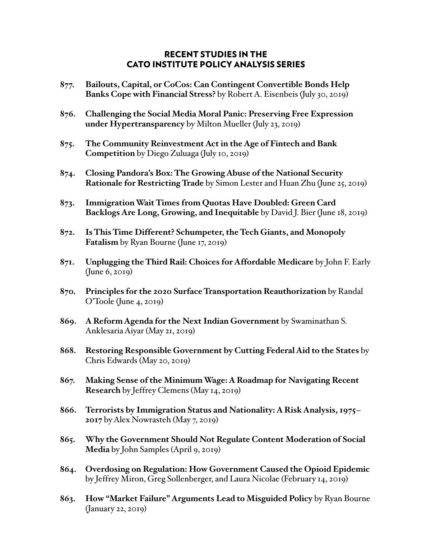### RECENT STUDIES IN THE CATO INSTITUTE POLICY ANALYSIS SERIES

- **877. Bailouts, Capital, or CoCos: Can Contingent Convertible Bonds Help Banks Cope with Financial Stress?** by Robert A. Eisenbeis (July 30, 2019)
- **876. Challenging the Social Media Moral Panic: Preserving Free Expression under Hypertransparency** by Milton Mueller (July 23, 2019)
- **875. The Community Reinvestment Act in the Age of Fintech and Bank Competition** by Diego Zuluaga (July 10, 2019)
- **874. Closing Pandora's Box: The Growing Abuse of the National Security Rationale for Restricting Trade** by Simon Lester and Huan Zhu (June 25, 2019)
- **873. Immigration Wait Times from Quotas Have Doubled: Green Card Backlogs Are Long, Growing, and Inequitable** by David J. Bier (June 18, 2019)
- **872. Is This Time Different? Schumpeter, the Tech Giants, and Monopoly Fatalism** by Ryan Bourne (June 17, 2019)
- **871. Unplugging the Third Rail: Choices for Affordable Medicare** by John F. Early (June 6, 2019)
- **870. Principles for the 2020 Surface Transportation Reauthorization** by Randal O'Toole (June 4, 2019)
- **869. A Reform Agenda for the Next Indian Government** by Swaminathan S. Anklesaria Aiyar (May 21, 2019)
- **868. Restoring Responsible Government by Cutting Federal Aid to the States** by Chris Edwards (May 20, 2019)
- **867. Making Sense of the Minimum Wage: A Roadmap for Navigating Recent Research** by Jeffrey Clemens (May 14, 2019)
- **866. Terrorists by Immigration Status and Nationality: A Risk Analysis, 1975– 2017** by Alex Nowrasteh (May 7, 2019)
- **865. Why the Government Should Not Regulate Content Moderation of Social Media** by John Samples (April 9, 2019)
- **864. Overdosing on Regulation: How Government Caused the Opioid Epidemic** by Jeffrey Miron, Greg Sollenberger, and Laura Nicolae (February 14, 2019)
- **863. How "Market Failure" Arguments Lead to Misguided Policy** by Ryan Bourne (January 22, 2019)